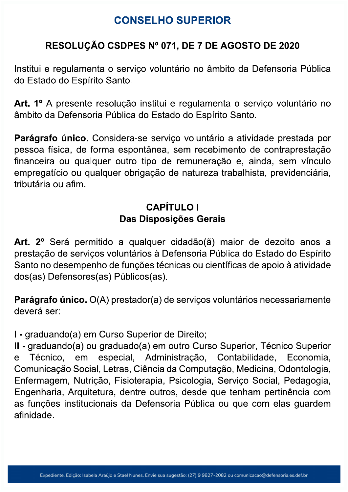# **CONSELHO SUPERIOR**

### RESOLUÇÃO CSDPES Nº 071, DE 7 DE AGOSTO DE 2020

Institui e regulamenta o serviço voluntário no âmbito da Defensoria Pública do Estado do Espírito Santo.

Art. 1º A presente resolução institui e regulamenta o serviço voluntário no âmbito da Defensoria Pública do Estado do Espírito Santo.

Parágrafo único. Considera-se serviço voluntário a atividade prestada por pessoa física, de forma espontânea, sem recebimento de contraprestação financeira ou qualquer outro tipo de remuneração e, ainda, sem vínculo empregatício ou qualquer obrigação de natureza trabalhista, previdenciária, tributária ou afim.

# **CAPÍTULO I** Das Disposições Gerais

Art. 2º Será permitido a qualquer cidadão(ã) maior de dezoito anos a prestação de serviços voluntários à Defensoria Pública do Estado do Espírito Santo no desempenho de funções técnicas ou científicas de apoio à atividade dos(as) Defensores(as) Públicos(as).

Parágrafo único. O(A) prestador(a) de serviços voluntários necessariamente deverá ser:

I - graduando(a) em Curso Superior de Direito;

II - graduando(a) ou graduado(a) em outro Curso Superior, Técnico Superior Contabilidade, especial, Administração, Técnico. Economia.  $\mathbf{e}$ em Comunicação Social, Letras, Ciência da Computação, Medicina, Odontologia, Enfermagem, Nutrição, Fisioterapia, Psicologia, Serviço Social, Pedagogia, Engenharia, Arquitetura, dentre outros, desde que tenham pertinência com as funções institucionais da Defensoria Pública ou que com elas guardem afinidade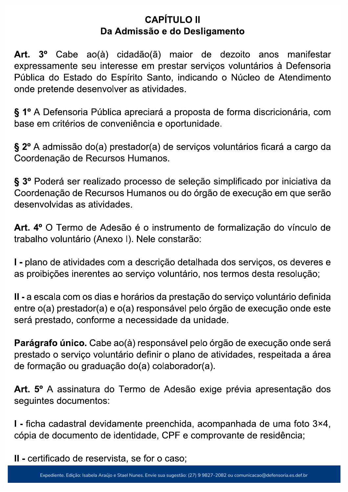#### **CAPÍTULO II** Da Admissão e do Desligamento

Art. 3º Cabe ao(à) cidadão(ã) maior de dezoito anos manifestar expressamente seu interesse em prestar serviços voluntários à Defensoria Pública do Estado do Espírito Santo, indicando o Núcleo de Atendimento onde pretende desenvolver as atividades.

§ 1º A Defensoria Pública apreciará a proposta de forma discricionária, com base em critérios de conveniência e oportunidade.

§ 2º A admissão do(a) prestador(a) de serviços voluntários ficará a cargo da Coordenação de Recursos Humanos.

§ 3º Poderá ser realizado processo de seleção simplificado por iniciativa da Coordenação de Recursos Humanos ou do órgão de execução em que serão desenvolvidas as atividades.

Art. 4º O Termo de Adesão é o instrumento de formalização do vínculo de trabalho voluntário (Anexo I). Nele constarão:

I - plano de atividades com a descrição detalhada dos serviços, os deveres e as proibições inerentes ao serviço voluntário, nos termos desta resolução;

II - a escala com os dias e horários da prestação do serviço voluntário definida entre o(a) prestador(a) e o(a) responsável pelo órgão de execução onde este será prestado, conforme a necessidade da unidade.

Parágrafo único. Cabe ao(à) responsável pelo órgão de execução onde será prestado o serviço voluntário definir o plano de atividades, respeitada a área de formação ou graduação do(a) colaborador(a).

Art. 5º A assinatura do Termo de Adesão exige prévia apresentação dos seguintes documentos:

I - ficha cadastral devidamente preenchida, acompanhada de uma foto 3×4, cópia de documento de identidade, CPF e comprovante de residência;

II - certificado de reservista, se for o caso;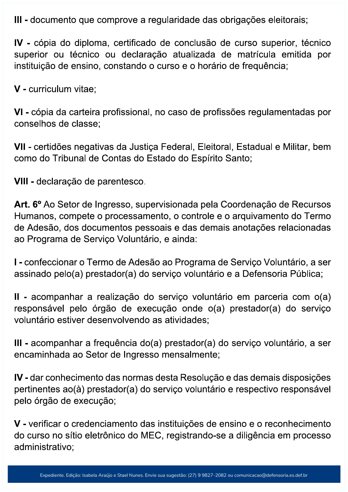III - documento que comprove a regularidade das obrigações eleitorais;

IV - cópia do diploma, certificado de conclusão de curso superior, técnico superior ou técnico ou declaração atualizada de matrícula emitida por instituição de ensino, constando o curso e o horário de frequência;

V - curriculum vitae;

VI - cópia da carteira profissional, no caso de profissões regulamentadas por conselhos de classe;

VII - certidões negativas da Justiça Federal, Eleitoral, Estadual e Militar, bem como do Tribunal de Contas do Estado do Espírito Santo;

VIII - declaração de parentesco.

Art. 6º Ao Setor de Ingresso, supervisionada pela Coordenação de Recursos Humanos, compete o processamento, o controle e o arquivamento do Termo de Adesão, dos documentos pessoais e das demais anotações relacionadas ao Programa de Servico Voluntário, e ainda:

I - confeccionar o Termo de Adesão ao Programa de Serviço Voluntário, a ser assinado pelo(a) prestador(a) do serviço voluntário e a Defensoria Pública;

II - acompanhar a realização do serviço voluntário em parceria com o(a) responsável pelo órgão de execução onde o(a) prestador(a) do serviço voluntário estiver desenvolvendo as atividades;

III - acompanhar a frequência do(a) prestador(a) do serviço voluntário, a ser encaminhada ao Setor de Ingresso mensalmente;

IV - dar conhecimento das normas desta Resolução e das demais disposições pertinentes ao(à) prestador(a) do serviço voluntário e respectivo responsável pelo órgão de execução;

V - verificar o credenciamento das instituições de ensino e o reconhecimento do curso no sítio eletrônico do MEC, registrando-se a diligência em processo administrativo: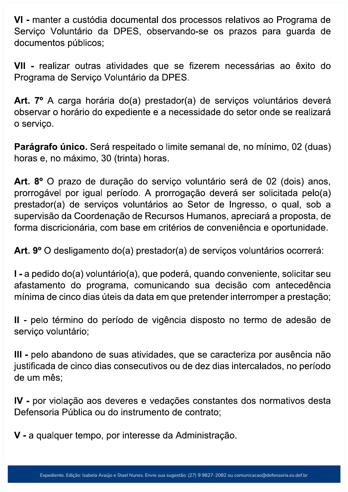VI - manter a custódia documental dos processos relativos ao Programa de Serviço Voluntário da DPES, observando-se os prazos para guarda de documentos públicos;

VII - realizar outras atividades que se fizerem necessárias ao êxito do Programa de Serviço Voluntário da DPES.

Art. 7º A carga horária do(a) prestador(a) de serviços voluntários deverá observar o horário do expediente e a necessidade do setor onde se realizará o serviço.

Parágrafo único. Será respeitado o limite semanal de, no mínimo, 02 (duas) horas e, no máximo, 30 (trinta) horas.

Art. 8º O prazo de duração do serviço voluntário será de 02 (dois) anos, prorrogável por igual período. A prorrogação deverá ser solicitada pelo(a) prestador(a) de serviços voluntários ao Setor de Ingresso, o qual, sob a supervisão da Coordenação de Recursos Humanos, apreciará a proposta, de forma discricionária, com base em critérios de conveniência e oportunidade.

Art. 9º O desligamento do(a) prestador(a) de serviços voluntários ocorrerá:

I - a pedido do(a) voluntário(a), que poderá, quando conveniente, solicitar seu afastamento do programa, comunicando sua decisão com antecedência mínima de cinco dias úteis da data em que pretender interromper a prestação;

II - pelo término do período de vigência disposto no termo de adesão de serviço voluntário;

III - pelo abandono de suas atividades, que se caracteriza por ausência não justificada de cinco dias consecutivos ou de dez dias intercalados, no período de um mês;

IV - por violação aos deveres e vedações constantes dos normativos desta Defensoria Pública ou do instrumento de contrato;

V - a qualquer tempo, por interesse da Administração.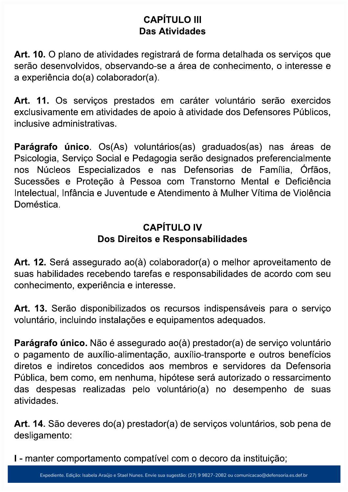### **CAPÍTULO III Das Atividades**

Art. 10. O plano de atividades registrará de forma detalhada os serviços que serão desenvolvidos, observando-se a área de conhecimento, o interesse e a experiência do(a) colaborador(a).

Art. 11. Os serviços prestados em caráter voluntário serão exercidos exclusivamente em atividades de apoio à atividade dos Defensores Públicos, inclusive administrativas.

Parágrafo único. Os(As) voluntários(as) graduados(as) nas áreas de Psicologia, Serviço Social e Pedagogia serão designados preferencialmente nos Núcleos Especializados e nas Defensorias de Família, Órfãos, Sucessões e Protecão à Pessoa com Transtorno Mental e Deficiência Intelectual, Infância e Juventude e Atendimento à Mulher Vítima de Violência Doméstica

### **CAPÍTULO IV** Dos Direitos e Responsabilidades

Art. 12. Será assegurado ao(à) colaborador(a) o melhor aproveitamento de suas habilidades recebendo tarefas e responsabilidades de acordo com seu conhecimento, experiência e interesse.

Art. 13. Serão disponibilizados os recursos indispensáveis para o serviço voluntário, incluindo instalações e equipamentos adequados.

Parágrafo único. Não é assegurado ao(à) prestador(a) de serviço voluntário o pagamento de auxílio-alimentação, auxílio-transporte e outros benefícios diretos e indiretos concedidos aos membros e servidores da Defensoria Pública, bem como, em nenhuma, hipótese será autorizado o ressarcimento das despesas realizadas pelo voluntário(a) no desempenho de suas atividades.

Art. 14. São deveres do(a) prestador(a) de serviços voluntários, sob pena de desligamento:

I - manter comportamento compatível com o decoro da instituição;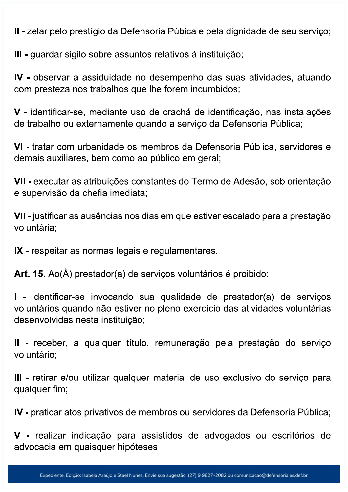II - zelar pelo prestígio da Defensoria Púbica e pela dignidade de seu serviço;

III - guardar sigilo sobre assuntos relativos à instituição;

IV - observar a assiduidade no desempenho das suas atividades, atuando com presteza nos trabalhos que lhe forem incumbidos;

V - identificar-se, mediante uso de crachá de identificação, nas instalações de trabalho ou externamente quando a serviço da Defensoria Pública;

VI - tratar com urbanidade os membros da Defensoria Pública, servidores e demais auxiliares, bem como ao público em geral;

VII - executar as atribuições constantes do Termo de Adesão, sob orientação e supervisão da chefia imediata;

VII - justificar as ausências nos dias em que estiver escalado para a prestação voluntária:

IX - respeitar as normas legais e regulamentares.

Art. 15. Ao(À) prestador(a) de serviços voluntários é proibido:

I - identificar-se invocando sua qualidade de prestador(a) de serviços voluntários quando não estiver no pleno exercício das atividades voluntárias desenvolvidas nesta instituição;

II - receber, a qualquer título, remuneração pela prestação do serviço voluntário:

III - retirar e/ou utilizar qualquer material de uso exclusivo do serviço para qualquer fim;

IV - praticar atos privativos de membros ou servidores da Defensoria Pública;

V - realizar indicação para assistidos de advogados ou escritórios de advocacia em quaisquer hipóteses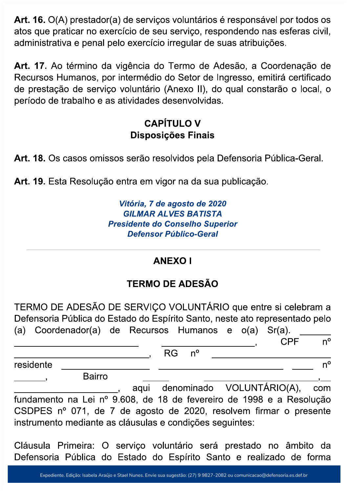Art. 16. O(A) prestador(a) de serviços voluntários é responsável por todos os atos que praticar no exercício de seu serviço, respondendo nas esferas civil, administrativa e penal pelo exercício irregular de suas atribuições.

Art. 17. Ao término da vigência do Termo de Adesão, a Coordenação de Recursos Humanos, por intermédio do Setor de Ingresso, emitirá certificado de prestação de serviço voluntário (Anexo II), do qual constarão o local, o período de trabalho e as atividades desenvolvidas.

### **CAPÍTULO V** Disposições Finais

Art. 18. Os casos omissos serão resolvidos pela Defensoria Pública-Geral.

Art. 19. Esta Resolução entra em vigor na da sua publicação.

Vitória, 7 de agosto de 2020 **GILMAR ALVES BATISTA Presidente do Conselho Superior Defensor Público-Geral** 

#### **ANEXOI**

# **TERMO DE ADESÃO**

TERMO DE ADESÃO DE SERVIÇO VOLUNTÁRIO que entre si celebram a Defensoria Pública do Estado do Espírito Santo, neste ato representado pelo (a) Coordenador(a) de Recursos Humanos e o(a)  $Sr(a)$ .  $n^{\circ}$ **CPF**  $n^{\circ}$ **RG** residente  $n^{\circ}$ **Bairro** aqui denominado VOLUNTÁRIO(A), com fundamento na Lei nº 9.608, de 18 de fevereiro de 1998 e a Resolução CSDPES nº 071, de 7 de agosto de 2020, resolvem firmar o presente instrumento mediante as cláusulas e condições seguintes:

Cláusula Primeira: O serviço voluntário será prestado no âmbito da Defensoria Pública do Estado do Espírito Santo e realizado de forma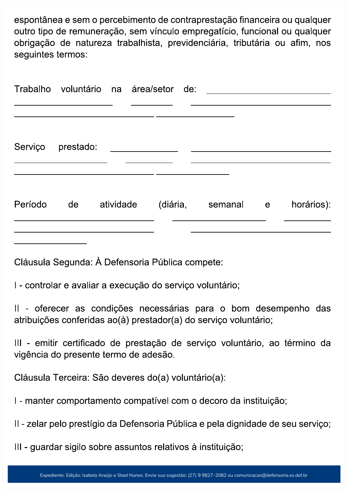espontânea e sem o percebimento de contraprestação financeira ou qualquer outro tipo de remuneração, sem vínculo empregatício, funcional ou qualquer obrigação de natureza trabalhista, previdenciária, tributária ou afim, nos seguintes termos:

|         | Trabalho voluntário na área/setor de: |           |  |                    |            |
|---------|---------------------------------------|-----------|--|--------------------|------------|
|         | Serviço prestado:                     |           |  |                    |            |
| Período | de                                    | atividade |  | (diária, semanal e | horários): |
|         |                                       |           |  |                    |            |

Cláusula Segunda: À Defensoria Pública compete:

I - controlar e avaliar a execução do serviço voluntário;

II - oferecer as condições necessárias para o bom desempenho das atribuições conferidas ao(à) prestador(a) do serviço voluntário;

III - emitir certificado de prestação de serviço voluntário, ao término da vigência do presente termo de adesão.

Cláusula Terceira: São deveres do(a) voluntário(a):

I - manter comportamento compatível com o decoro da instituição;

II - zelar pelo prestígio da Defensoria Pública e pela dignidade de seu serviço;

III - guardar sigilo sobre assuntos relativos à instituição;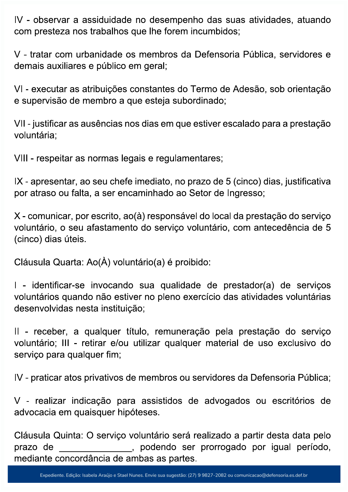IV - observar a assiduidade no desempenho das suas atividades, atuando com presteza nos trabalhos que lhe forem incumbidos;

V - tratar com urbanidade os membros da Defensoria Pública, servidores e demais auxiliares e público em geral;

VI - executar as atribuições constantes do Termo de Adesão, sob orientação e supervisão de membro a que esteja subordinado;

VII - justificar as ausências nos dias em que estiver escalado para a prestação voluntária;

VIII - respeitar as normas legais e regulamentares;

IX - apresentar, ao seu chefe imediato, no prazo de 5 (cinco) dias, justificativa por atraso ou falta, a ser encaminhado ao Setor de Ingresso;

X - comunicar, por escrito, ao(à) responsável do local da prestação do serviço voluntário, o seu afastamento do serviço voluntário, com antecedência de 5 (cinco) dias úteis.

Cláusula Quarta: Ao(À) voluntário(a) é proibido:

I - identificar-se invocando sua qualidade de prestador(a) de serviços voluntários quando não estiver no pleno exercício das atividades voluntárias desenvolvidas nesta instituição;

II - receber, a qualquer título, remuneração pela prestação do serviço voluntário; III - retirar e/ou utilizar qualquer material de uso exclusivo do servico para qualquer fim;

IV - praticar atos privativos de membros ou servidores da Defensoria Pública;

V - realizar indicação para assistidos de advogados ou escritórios de advocacia em quaisquer hipóteses.

Cláusula Quinta: O serviço voluntário será realizado a partir desta data pelo podendo ser prorrogado por igual período, prazo de mediante concordância de ambas as partes.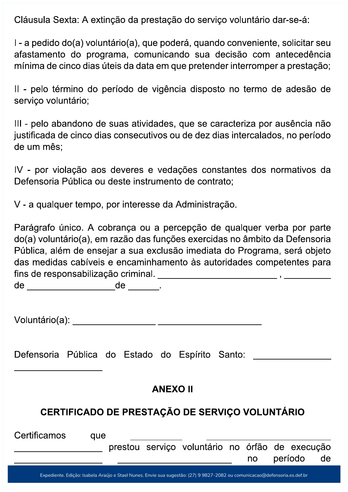Cláusula Sexta: A extinção da prestação do serviço voluntário dar-se-á:

I - a pedido do(a) voluntário(a), que poderá, quando conveniente, solicitar seu afastamento do programa, comunicando sua decisão com antecedência mínima de cinco dias úteis da data em que pretender interromper a prestação;

Il - pelo término do período de vigência disposto no termo de adesão de servico voluntário;

III - pelo abandono de suas atividades, que se caracteriza por ausência não justificada de cinco dias consecutivos ou de dez dias intercalados, no período de um mês:

IV - por violação aos deveres e vedações constantes dos normativos da Defensoria Pública ou deste instrumento de contrato:

V - a qualquer tempo, por interesse da Administração.

Parágrafo único. A cobrança ou a percepção de qualquer verba por parte do(a) voluntário(a), em razão das funções exercidas no âmbito da Defensoria Pública, além de ensejar a sua exclusão imediata do Programa, será objeto das medidas cabíveis e encaminhamento às autoridades competentes para fins de responsabilização criminal.<br>
Fins de responsabilização criminal.

Defensoria Pública do Estado do Espírito Santo: \_\_\_\_\_\_\_\_\_\_\_\_\_\_\_\_\_\_\_\_\_\_\_\_\_\_\_\_\_\_\_\_

#### **ANEXO II**

#### **CERTIFICADO DE PRESTAÇÃO DE SERVICO VOLUNTÁRIO**

| Certificamos | que |  |                                                 |    |         |    |
|--------------|-----|--|-------------------------------------------------|----|---------|----|
|              |     |  | prestou serviço voluntário no órfão de execução |    |         |    |
|              |     |  |                                                 | no | período | de |
|              |     |  |                                                 |    |         |    |